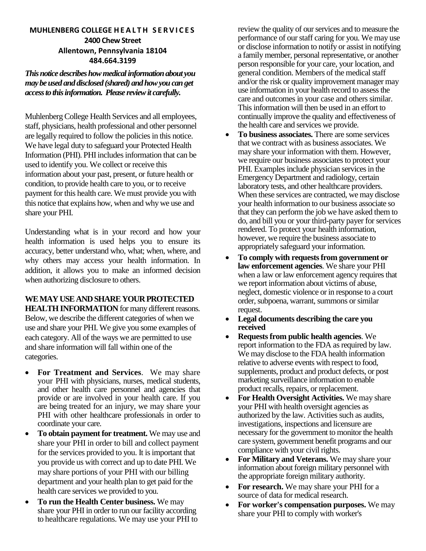# **MUHLENBERG COLLEGE H E A L T H S E R V I C E S 2400 Chew Street Allentown, Pennsylvania 18104 484.664.3199**

*This notice describes how medical information about you may be used and disclosed (shared) and how you can get access to this information. Please review it carefully.*

Muhlenberg College Health Services and all employees, staff, physicians, health professional and other personnel are legally required to follow the policies in this notice. We have legal duty to safeguard your Protected Health Information (PHI). PHI includes information that can be used to identify you. We collect or receive this information about your past, present, or future health or condition, to provide health care to you, or to receive payment for this health care. We must provide you with this notice that explains how, when and why we use and share your PHI.

Understanding what is in your record and how your health information is used helps you to ensure its accuracy, better understand who, what; when, where, and why others may access your health information. In addition, it allows you to make an informed decision when authorizing disclosure to others.

# **WE MAY USE AND SHARE YOUR PROTECTED**

**HEALTH INFORMATION** for many different reasons. Below, we describe the different categories of when we use and share your PHI. We give you some examples of each category. All of the ways we are permitted to use and share information will fall within one of the categories.

- **For Treatment and Services**. We may share your PHI with physicians, nurses, medical students, and other health care personnel and agencies that provide or are involved in your health care. If you are being treated for an injury, we may share your PHI with other healthcare professionals in order to coordinate your care.
- **To obtain payment for treatment.** We may use and share your PHI in order to bill and collect payment for the services provided to you. It is important that you provide us with correct and up to date PHI. We may share portions of your PHI with our billing department and your health plan to get paid for the health care services we provided to you.
- **To run the Health Center business.** We may share your PHI in order to run our facility according to healthcare regulations. We may use your PHI to

review the quality of our services and to measure the performance of our staff caring for you. We may use or disclose information to notify or assist in notifying a family member, personal representative, or another person responsible for your care, your location, and general condition. Members of the medical staff and/or the risk or quality improvement manager may use information in your health record to assess the care and outcomes in your case and others similar. This information will then be used in an effort to continually improve the quality and effectiveness of the health care and services we provide.

- **To business associates.** There are some services that we contract with as business associates. We may share your information with them. However, we require our business associates to protect your PHI. Examples include physician services in the Emergency Department and radiology, certain laboratory tests, and other healthcare providers. When these services are contracted, we may disclose your health information to our business associate so that they can perform the job we have asked them to do, and bill you or your third-party payer for services rendered. To protect your health information, however, we require the business associate to appropriately safeguard your information.
- **To comply with requests from government or law enforcement agencies**. We share your PHI when a law or law enforcement agency requires that we report information about victims of abuse, neglect, domestic violence or in response to a court order, subpoena, warrant, summons or similar request.
- **Legal documents describing the care you received**
- **Requests from public health agencies**. We report information to the FDA as required by law. We may disclose to the FDA health information relative to adverse events with respect to food, supplements, product and product defects, or post marketing surveillance information to enable product recalls, repairs, or replacement.
- **For Health Oversight Activities.** We may share your PHI with health oversight agencies as authorized by the law. Activities such as audits, investigations, inspections and licensure are necessary for the government to monitor the health care system, government benefit programs and our compliance with your civil rights.
- **For Military and Veterans.** We may share your information about foreign military personnel with the appropriate foreign military authority.
- **For research.** We may share your PHI for a source of data for medical research.
- **For worker's compensation purposes.** We may share your PHI to comply with worker's